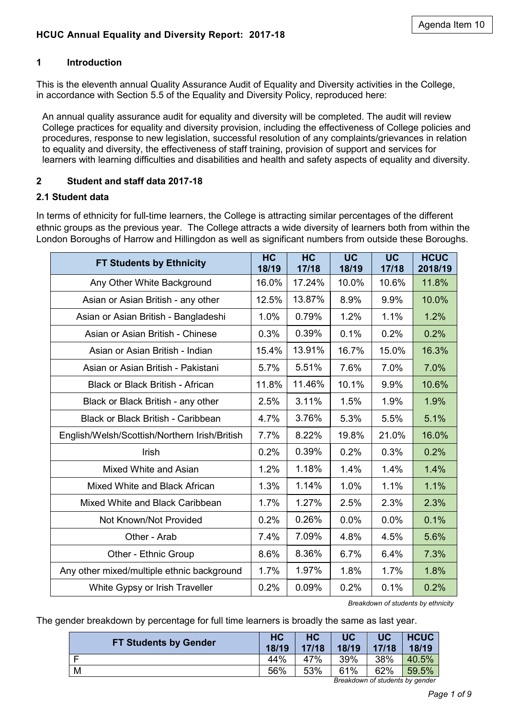### **1 Introduction**

This is the eleventh annual Quality Assurance Audit of Equality and Diversity activities in the College, in accordance with Section 5.5 of the Equality and Diversity Policy, reproduced here:

An annual quality assurance audit for equality and diversity will be completed. The audit will review College practices for equality and diversity provision, including the effectiveness of College policies and procedures, response to new legislation, successful resolution of any complaints/grievances in relation to equality and diversity, the effectiveness of staff training, provision of support and services for learners with learning difficulties and disabilities and health and safety aspects of equality and diversity.

### **2 Student and staff data 2017-18**

#### **2.1 Student data**

In terms of ethnicity for full-time learners, the College is attracting similar percentages of the different ethnic groups as the previous year. The College attracts a wide diversity of learners both from within the London Boroughs of Harrow and Hillingdon as well as significant numbers from outside these Boroughs.

| <b>FT Students by Ethnicity</b>               |       | <b>HC</b><br>17/18 | <b>UC</b><br>18/19 | <b>UC</b><br>17/18 | <b>HCUC</b><br>2018/19 |
|-----------------------------------------------|-------|--------------------|--------------------|--------------------|------------------------|
| Any Other White Background                    | 16.0% | 17.24%             | 10.0%              | 10.6%              | 11.8%                  |
| Asian or Asian British - any other            | 12.5% | 13.87%             | 8.9%               | 9.9%               | 10.0%                  |
| Asian or Asian British - Bangladeshi          | 1.0%  | 0.79%              | 1.2%               | 1.1%               | 1.2%                   |
| Asian or Asian British - Chinese              | 0.3%  | 0.39%              | 0.1%               | 0.2%               | 0.2%                   |
| Asian or Asian British - Indian               | 15.4% | 13.91%             | 16.7%              | 15.0%              | 16.3%                  |
| Asian or Asian British - Pakistani            | 5.7%  | 5.51%              | 7.6%               | 7.0%               | 7.0%                   |
| <b>Black or Black British - African</b>       | 11.8% | 11.46%             | 10.1%              | 9.9%               | 10.6%                  |
| Black or Black British - any other            |       | 3.11%              | 1.5%               | 1.9%               | 1.9%                   |
| <b>Black or Black British - Caribbean</b>     |       | 3.76%              | 5.3%               | 5.5%               | 5.1%                   |
| English/Welsh/Scottish/Northern Irish/British |       | 8.22%              | 19.8%              | 21.0%              | 16.0%                  |
| Irish                                         | 0.2%  | 0.39%              | 0.2%               | 0.3%               | 0.2%                   |
| Mixed White and Asian                         | 1.2%  | 1.18%              | 1.4%               | 1.4%               | 1.4%                   |
| Mixed White and Black African                 | 1.3%  | 1.14%              | 1.0%               | 1.1%               | 1.1%                   |
| Mixed White and Black Caribbean               | 1.7%  | 1.27%              | 2.5%               | 2.3%               | 2.3%                   |
| Not Known/Not Provided                        | 0.2%  | 0.26%              | 0.0%               | 0.0%               | 0.1%                   |
| Other - Arab                                  |       | 7.09%              | 4.8%               | 4.5%               | 5.6%                   |
| Other - Ethnic Group                          |       | 8.36%              | 6.7%               | 6.4%               | 7.3%                   |
| Any other mixed/multiple ethnic background    | 1.7%  | 1.97%              | 1.8%               | 1.7%               | 1.8%                   |
| White Gypsy or Irish Traveller                | 0.2%  | 0.09%              | 0.2%               | 0.1%               | 0.2%                   |

*Breakdown of students by ethnicity*

The gender breakdown by percentage for full time learners is broadly the same as last year.

| <b>FT Students by Gender</b> | <b>HC</b><br>18/19 | <b>HC</b><br>17/18 | UC<br>18/19 | <b>UC</b><br>17/18 | <b>HCUC</b><br>18/19 |
|------------------------------|--------------------|--------------------|-------------|--------------------|----------------------|
| Е                            | 44%                | 47%                | 39%         | 38%                | 40.5%                |
| M                            | 56%                | 53%                | 61%         | 62%                | 59.5%                |

*Breakdown of students by gender*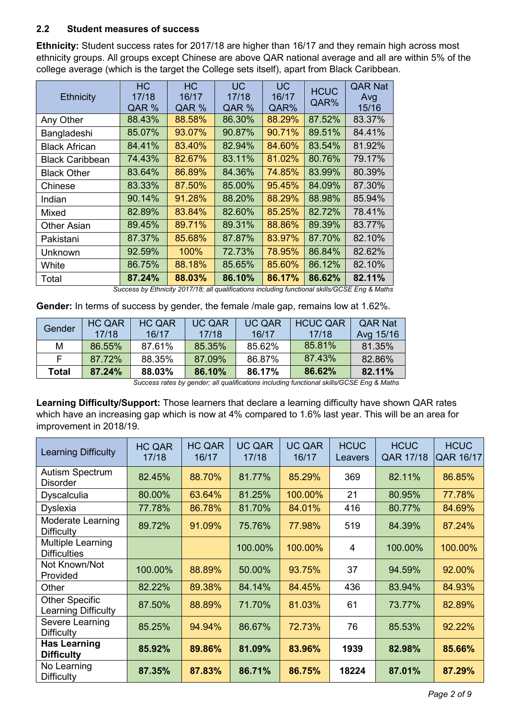# **2.2 Student measures of success**

**Ethnicity:** Student success rates for 2017/18 are higher than 16/17 and they remain high across most ethnicity groups. All groups except Chinese are above QAR national average and all are within 5% of the college average (which is the target the College sets itself), apart from Black Caribbean.

| <b>Ethnicity</b>       | <b>HC</b><br>17/18<br>QAR % | <b>HC</b><br>16/17<br>QAR % | <b>UC</b><br>17/18<br>QAR % | <b>UC</b><br>16/17<br>QAR% | <b>HCUC</b><br>QAR% | <b>QAR Nat</b><br>Avg<br>15/16 |
|------------------------|-----------------------------|-----------------------------|-----------------------------|----------------------------|---------------------|--------------------------------|
| Any Other              | 88.43%                      | 88.58%                      | 86.30%                      | 88.29%                     | 87.52%              | 83.37%                         |
| Bangladeshi            | 85.07%                      | 93.07%                      | 90.87%                      | 90.71%                     | 89.51%              | 84.41%                         |
| <b>Black African</b>   | 84.41%                      | 83.40%                      | 82.94%                      | 84.60%                     | 83.54%              | 81.92%                         |
| <b>Black Caribbean</b> | 74.43%                      | 82.67%                      | 83.11%                      | 81.02%                     | 80.76%              | 79.17%                         |
| <b>Black Other</b>     | 83.64%                      | 86.89%                      | 84.36%                      | 74.85%                     | 83.99%              | 80.39%                         |
| Chinese                | 83.33%                      | 87.50%                      | 85.00%                      | 95.45%                     | 84.09%              | 87.30%                         |
| Indian                 | 90.14%                      | 91.28%                      | 88.20%                      | 88.29%                     | 88.98%              | 85.94%                         |
| <b>Mixed</b>           | 82.89%                      | 83.84%                      | 82.60%                      | 85.25%                     | 82.72%              | 78.41%                         |
| <b>Other Asian</b>     | 89.45%                      | 89.71%                      | 89.31%                      | 88.86%                     | 89.39%              | 83.77%                         |
| Pakistani              | 87.37%                      | 85.68%                      | 87.87%                      | 83.97%                     | 87.70%              | 82.10%                         |
| Unknown                | 92.59%                      | 100%                        | 72.73%                      | 78.95%                     | 86.84%              | 82.62%                         |
| White                  | 86.75%                      | 88.18%                      | 85.65%                      | 85.60%                     | 86.12%              | 82.10%                         |
| Total                  | 87.24%                      | 88.03%                      | 86.10%                      | 86.17%                     | 86.62%              | 82.11%                         |

*Success by Ethnicity 2017/18; all qualifications including functional skills/GCSE Eng & Maths*

**Gender:** In terms of success by gender, the female /male gap, remains low at 1.62%.

| Gender | <b>HC QAR</b> | <b>HC QAR</b> | UC QAR | <b>UC QAR</b> | <b>HCUC QAR</b> | <b>OAR Nat</b> |
|--------|---------------|---------------|--------|---------------|-----------------|----------------|
|        | 17/18         | 16/17         | 17/18  | 16/17         | 17/18           | Avg 15/16      |
| М      | 86.55%        | 87.61%        | 85.35% | 85.62%        | 85.81%          | 81.35%         |
|        | 87.72%        | 88.35%        | 87.09% | 86.87%        | 87.43%          | 82.86%         |
| Total  | 87.24%        | 88.03%        | 86.10% | 86.17%        | 86.62%          | 82.11%         |

*Success rates by gender; all qualifications including functional skills/GCSE Eng & Maths*

**Learning Difficulty/Support:** Those learners that declare a learning difficulty have shown QAR rates which have an increasing gap which is now at 4% compared to 1.6% last year. This will be an area for improvement in 2018/19.

| <b>Learning Difficulty</b>                      | <b>HC QAR</b><br>17/18 | <b>HC QAR</b><br>16/17 | <b>UC QAR</b><br>17/18 | <b>UC QAR</b><br>16/17 | <b>HCUC</b><br>Leavers | <b>HCUC</b><br>QAR 17/18 | <b>HCUC</b><br>QAR 16/17 |
|-------------------------------------------------|------------------------|------------------------|------------------------|------------------------|------------------------|--------------------------|--------------------------|
| <b>Autism Spectrum</b><br><b>Disorder</b>       | 82.45%                 | 88.70%                 | 81.77%                 | 85.29%                 | 369                    | 82.11%                   | 86.85%                   |
| <b>Dyscalculia</b>                              | 80.00%                 | 63.64%                 | 81.25%                 | 100.00%                | 21                     | 80.95%                   | 77.78%                   |
| Dyslexia                                        | 77.78%                 | 86.78%                 | 81.70%                 | 84.01%                 | 416                    | 80.77%                   | 84.69%                   |
| <b>Moderate Learning</b><br><b>Difficulty</b>   | 89.72%                 | 91.09%                 | 75.76%                 | 77.98%                 | 519                    | 84.39%                   | 87.24%                   |
| <b>Multiple Learning</b><br><b>Difficulties</b> |                        |                        | 100.00%                | 100.00%                | $\overline{4}$         | 100.00%                  | 100.00%                  |
| Not Known/Not<br>Provided                       | 100.00%                | 88.89%                 | 50.00%                 | 93.75%                 | 37                     | 94.59%                   | 92.00%                   |
| Other                                           | 82.22%                 | 89.38%                 | 84.14%                 | 84.45%                 | 436                    | 83.94%                   | 84.93%                   |
| <b>Other Specific</b><br>Learning Difficulty    | 87.50%                 | 88.89%                 | 71.70%                 | 81.03%                 | 61                     | 73.77%                   | 82.89%                   |
| Severe Learning<br><b>Difficulty</b>            | 85.25%                 | 94.94%                 | 86.67%                 | 72.73%                 | 76                     | 85.53%                   | 92.22%                   |
| <b>Has Learning</b><br><b>Difficulty</b>        | 85.92%                 | 89.86%                 | 81.09%                 | 83.96%                 | 1939                   | 82.98%                   | 85.66%                   |
| No Learning<br><b>Difficulty</b>                | 87.35%                 | 87.83%                 | 86.71%                 | 86.75%                 | 18224                  | 87.01%                   | 87.29%                   |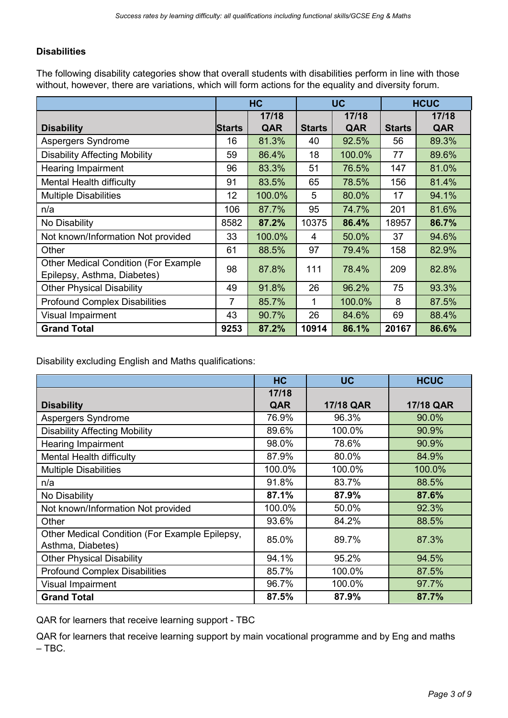# **Disabilities**

The following disability categories show that overall students with disabilities perform in line with those without, however, there are variations, which will form actions for the equality and diversity forum.

|                                                                            | <b>HC</b>     |        | <b>UC</b>     |        | <b>HCUC</b>   |       |
|----------------------------------------------------------------------------|---------------|--------|---------------|--------|---------------|-------|
|                                                                            |               | 17/18  |               | 17/18  |               | 17/18 |
| <b>Disability</b>                                                          | <b>Starts</b> | QAR    | <b>Starts</b> | QAR    | <b>Starts</b> | QAR   |
| Aspergers Syndrome                                                         | 16            | 81.3%  | 40            | 92.5%  | 56            | 89.3% |
| <b>Disability Affecting Mobility</b>                                       | 59            | 86.4%  | 18            | 100.0% | 77            | 89.6% |
| Hearing Impairment                                                         | 96            | 83.3%  | 51            | 76.5%  | 147           | 81.0% |
| Mental Health difficulty                                                   | 91            | 83.5%  | 65            | 78.5%  | 156           | 81.4% |
| <b>Multiple Disabilities</b>                                               | 12            | 100.0% | 5             | 80.0%  | 17            | 94.1% |
| n/a                                                                        | 106           | 87.7%  | 95            | 74.7%  | 201           | 81.6% |
| No Disability                                                              | 8582          | 87.2%  | 10375         | 86.4%  | 18957         | 86.7% |
| Not known/Information Not provided                                         | 33            | 100.0% | 4             | 50.0%  | 37            | 94.6% |
| Other                                                                      | 61            | 88.5%  | 97            | 79.4%  | 158           | 82.9% |
| <b>Other Medical Condition (For Example</b><br>Epilepsy, Asthma, Diabetes) | 98            | 87.8%  | 111           | 78.4%  | 209           | 82.8% |
| <b>Other Physical Disability</b>                                           | 49            | 91.8%  | 26            | 96.2%  | 75            | 93.3% |
| <b>Profound Complex Disabilities</b>                                       | 7             | 85.7%  | 1             | 100.0% | 8             | 87.5% |
| Visual Impairment                                                          | 43            | 90.7%  | 26            | 84.6%  | 69            | 88.4% |
| <b>Grand Total</b>                                                         | 9253          | 87.2%  | 10914         | 86.1%  | 20167         | 86.6% |

Disability excluding English and Maths qualifications:

|                                                                     | <b>HC</b> | <b>UC</b> | <b>HCUC</b> |
|---------------------------------------------------------------------|-----------|-----------|-------------|
|                                                                     | 17/18     |           |             |
| <b>Disability</b>                                                   | QAR       | 17/18 QAR | 17/18 QAR   |
| Aspergers Syndrome                                                  | 76.9%     | 96.3%     | 90.0%       |
| <b>Disability Affecting Mobility</b>                                | 89.6%     | 100.0%    | 90.9%       |
| <b>Hearing Impairment</b>                                           | 98.0%     | 78.6%     | 90.9%       |
| Mental Health difficulty                                            | 87.9%     | 80.0%     | 84.9%       |
| <b>Multiple Disabilities</b>                                        | 100.0%    | 100.0%    | 100.0%      |
| n/a                                                                 | 91.8%     | 83.7%     | 88.5%       |
| No Disability                                                       | 87.1%     | 87.9%     | 87.6%       |
| Not known/Information Not provided                                  | 100.0%    | 50.0%     | 92.3%       |
| Other                                                               | 93.6%     | 84.2%     | 88.5%       |
| Other Medical Condition (For Example Epilepsy,<br>Asthma, Diabetes) | 85.0%     | 89.7%     | 87.3%       |
| <b>Other Physical Disability</b>                                    | 94.1%     | 95.2%     | 94.5%       |
| <b>Profound Complex Disabilities</b>                                | 85.7%     | 100.0%    | 87.5%       |
| Visual Impairment                                                   | 96.7%     | 100.0%    | 97.7%       |
| <b>Grand Total</b>                                                  | 87.5%     | 87.9%     | 87.7%       |

QAR for learners that receive learning support - TBC

QAR for learners that receive learning support by main vocational programme and by Eng and maths  $-$  TBC.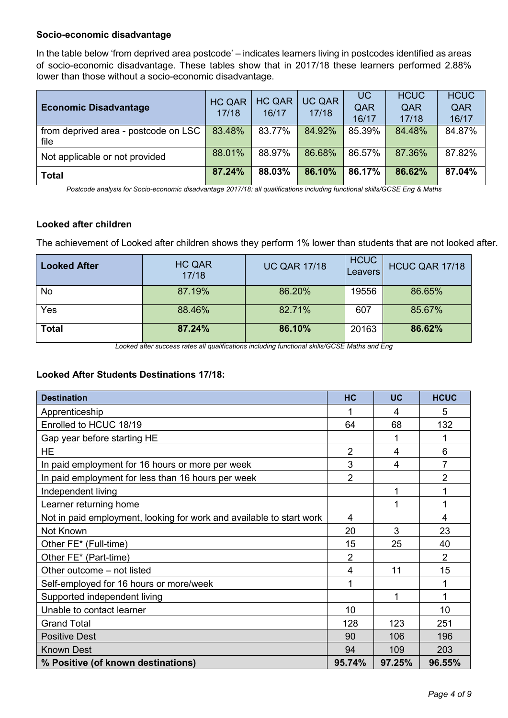### **Socio-economic disadvantage**

In the table below 'from deprived area postcode' – indicates learners living in postcodes identified as areas of socio-economic disadvantage. These tables show that in 2017/18 these learners performed 2.88% lower than those without a socio-economic disadvantage.

| <b>Economic Disadvantage</b>                 | <b>HC QAR</b><br>17/18 | <b>HC QAR</b><br>16/17 | <b>UC QAR</b><br>17/18 | UC<br>QAR<br>16/17 | <b>HCUC</b><br>QAR<br>17/18 | <b>HCUC</b><br>QAR<br>16/17 |
|----------------------------------------------|------------------------|------------------------|------------------------|--------------------|-----------------------------|-----------------------------|
| from deprived area - postcode on LSC<br>file | 83.48%                 | 83.77%                 | 84.92%                 | 85.39%             | 84.48%                      | 84.87%                      |
| Not applicable or not provided               | 88.01%                 | 88.97%                 | 86.68%                 | 86.57%             | 87.36%                      | 87.82%                      |
| <b>Total</b>                                 | 87.24%                 | 88.03%                 | 86.10%                 | 86.17%             | 86.62%                      | 87.04%                      |

*Postcode analysis for Socio-economic disadvantage 2017/18: all qualifications including functional skills/GCSE Eng & Maths*

#### **Looked after children**

The achievement of Looked after children shows they perform 1% lower than students that are not looked after.

| <b>Looked After</b> | <b>HC QAR</b><br>17/18 | <b>UC QAR 17/18</b> | <b>HCUC</b><br>Leavers | HCUC QAR 17/18 |
|---------------------|------------------------|---------------------|------------------------|----------------|
| No                  | 87.19%                 | 86.20%              | 19556                  | 86.65%         |
| Yes                 | 88.46%                 | 82.71%              | 607                    | 85.67%         |
| <b>Total</b>        | 87.24%                 | 86.10%              | 20163                  | 86.62%         |

*Looked after success rates all qualifications including functional skills/GCSE Maths and Eng*

#### **Looked After Students Destinations 17/18:**

| <b>Destination</b>                                                   | HC             | <b>UC</b> | <b>HCUC</b>    |
|----------------------------------------------------------------------|----------------|-----------|----------------|
| Apprenticeship                                                       |                | 4         | 5              |
| Enrolled to HCUC 18/19                                               | 64             | 68        | 132            |
| Gap year before starting HE                                          |                |           | 1              |
| <b>HE</b>                                                            | $\overline{2}$ | 4         | 6              |
| In paid employment for 16 hours or more per week                     | 3              | 4         | 7              |
| In paid employment for less than 16 hours per week                   | 2              |           | $\overline{2}$ |
| Independent living                                                   |                | 1         | 1              |
| Learner returning home                                               |                | 1         | 1              |
| Not in paid employment, looking for work and available to start work | $\overline{4}$ |           | 4              |
| Not Known                                                            | 20             | 3         | 23             |
| Other FE* (Full-time)                                                | 15             | 25        | 40             |
| Other FE* (Part-time)                                                | $\overline{2}$ |           | $\overline{2}$ |
| Other outcome - not listed                                           | $\overline{4}$ | 11        | 15             |
| Self-employed for 16 hours or more/week                              |                |           | 1              |
| Supported independent living                                         |                |           | 1              |
| Unable to contact learner                                            | 10             |           | 10             |
| <b>Grand Total</b>                                                   | 128            | 123       | 251            |
| <b>Positive Dest</b>                                                 | 90             | 106       | 196            |
| <b>Known Dest</b>                                                    | 94             | 109       | 203            |
| % Positive (of known destinations)                                   | 95.74%         | 97.25%    | 96.55%         |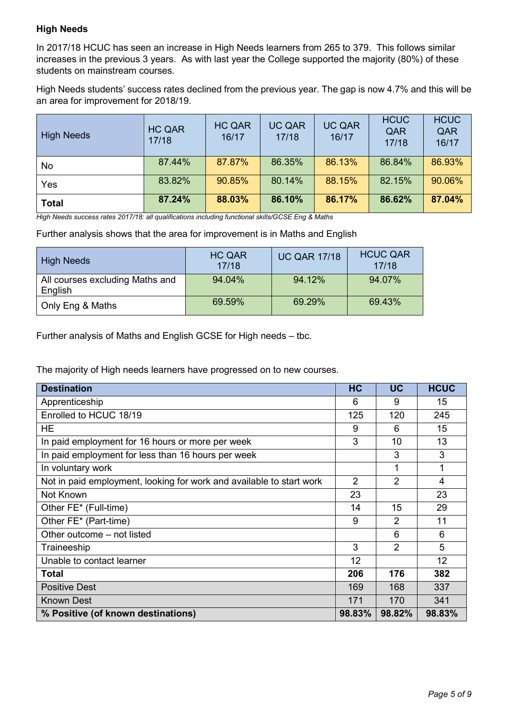# **High Needs**

In 2017/18 HCUC has seen an increase in High Needs learners from 265 to 379. This follows similar increases in the previous 3 years. As with last year the College supported the majority (80%) of these students on mainstream courses.

High Needs students' success rates declined from the previous year. The gap is now 4.7% and this will be an area for improvement for 2018/19.

| <b>High Needs</b> | <b>HC QAR</b><br>17/18 | <b>HC QAR</b><br>16/17 | <b>UC QAR</b><br>17/18 | <b>UC QAR</b><br>16/17 | <b>HCUC</b><br>QAR<br>17/18 | <b>HCUC</b><br>QAR<br>16/17 |
|-------------------|------------------------|------------------------|------------------------|------------------------|-----------------------------|-----------------------------|
| No                | 87.44%                 | 87.87%                 | 86.35%                 | 86.13%                 | 86.84%                      | 86.93%                      |
| Yes               | 83.82%                 | 90.85%                 | 80.14%                 | 88.15%                 | 82.15%                      | 90.06%                      |
| <b>Total</b>      | 87.24%                 | 88.03%                 | 86.10%                 | 86.17%                 | 86.62%                      | 87.04%                      |

*High Needs success rates 2017/18: all qualifications including functional skills/GCSE Eng & Maths*

Further analysis shows that the area for improvement is in Maths and English

| <b>High Needs</b>                          | <b>HC QAR</b><br>17/18 | <b>UC QAR 17/18</b> | <b>HCUC QAR</b><br>17/18 |
|--------------------------------------------|------------------------|---------------------|--------------------------|
| All courses excluding Maths and<br>English | 94.04%                 | 94.12%              | 94.07%                   |
| Only Eng & Maths                           | 69.59%                 | 69.29%              | 69.43%                   |

Further analysis of Maths and English GCSE for High needs – tbc.

The majority of High needs learners have progressed on to new courses.

| <b>Destination</b>                                                   | <b>HC</b>      | UC             | <b>HCUC</b>     |
|----------------------------------------------------------------------|----------------|----------------|-----------------|
| Apprenticeship                                                       | 6              | 9              | 15              |
| Enrolled to HCUC 18/19                                               | 125            | 120            | 245             |
| <b>HE</b>                                                            | 9              | 6              | 15              |
| In paid employment for 16 hours or more per week                     | 3              | 10             | 13              |
| In paid employment for less than 16 hours per week                   |                | 3              | 3               |
| In voluntary work                                                    |                | 1              | 1               |
| Not in paid employment, looking for work and available to start work | $\overline{2}$ | $\overline{2}$ | 4               |
| Not Known                                                            | 23             |                | 23              |
| Other FE* (Full-time)                                                | 14             | 15             | 29              |
| Other FE* (Part-time)                                                | 9              | $\mathcal{P}$  | 11              |
| Other outcome – not listed                                           |                | 6              | 6               |
| Traineeship                                                          | 3              | $\overline{2}$ | 5               |
| Unable to contact learner                                            | 12             |                | 12 <sup>2</sup> |
| <b>Total</b>                                                         | 206            | 176            | 382             |
| <b>Positive Dest</b>                                                 | 169            | 168            | 337             |
| Known Dest                                                           | 171            | 170            | 341             |
| % Positive (of known destinations)                                   | 98.83%         | 98.82%         | 98.83%          |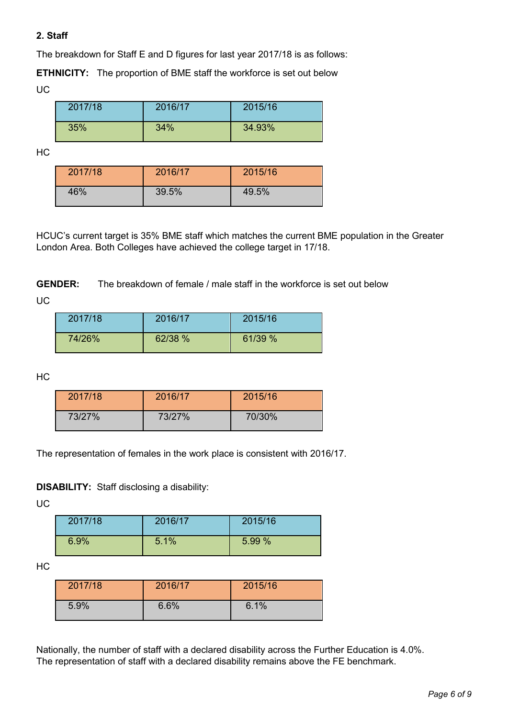# **2. Staff**

The breakdown for Staff E and D figures for last year 2017/18 is as follows:

**ETHNICITY:** The proportion of BME staff the workforce is set out below UC

| 2017/18 | 2016/17 | 2015/16 |
|---------|---------|---------|
| 35%     | 34%     | 34.93%  |

HC

| 2017/18 | 2016/17 | 2015/16 |
|---------|---------|---------|
| 46%     | 39.5%   | 49.5%   |

HCUC's current target is 35% BME staff which matches the current BME population in the Greater London Area. Both Colleges have achieved the college target in 17/18.

**GENDER:** The breakdown of female / male staff in the workforce is set out below

UC

| 2017/18 | 2016/17 | 2015/16 |
|---------|---------|---------|
| 74/26%  | 62/38 % | 61/39 % |

HC

| 2017/18 | 2016/17 | 2015/16 |
|---------|---------|---------|
| 73/27%  | 73/27%  | 70/30%  |

The representation of females in the work place is consistent with 2016/17.

**DISABILITY:** Staff disclosing a disability:

UC

| 2017/18 | 2016/17 | 2015/16 |
|---------|---------|---------|
| 6.9%    | 5.1%    | 5.99 %  |

HC

| 2017/18 | 2016/17 | 2015/16 |
|---------|---------|---------|
| 5.9%    | 6.6%    | 6.1%    |

Nationally, the number of staff with a declared disability across the Further Education is 4.0%. The representation of staff with a declared disability remains above the FE benchmark.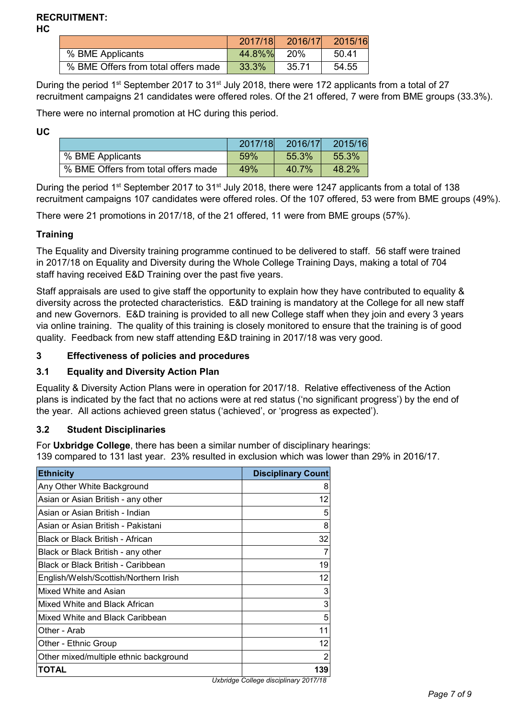# **RECRUITMENT:**

**HC**

|                                     | 2017/18 | 2016/17    | 2015/16 |
|-------------------------------------|---------|------------|---------|
| % BME Applicants                    | 44.8%%  | <b>20%</b> | 50.41   |
| % BME Offers from total offers made | 33.3%   | 35.71      | 54.55   |

During the period 1<sup>st</sup> September 2017 to 31<sup>st</sup> July 2018, there were 172 applicants from a total of 27 recruitment campaigns 21 candidates were offered roles. Of the 21 offered, 7 were from BME groups (33.3%).

There were no internal promotion at HC during this period.

**UC** 

|                                     | 2017/18 | 2016/17 | 2015/16 |
|-------------------------------------|---------|---------|---------|
| % BME Applicants                    | 59%     | 55.3%   | 55.3%   |
| % BME Offers from total offers made | 49%     | 40.7%   | 48.2%   |

During the period 1<sup>st</sup> September 2017 to 31<sup>st</sup> July 2018, there were 1247 applicants from a total of 138 recruitment campaigns 107 candidates were offered roles. Of the 107 offered, 53 were from BME groups (49%).

There were 21 promotions in 2017/18, of the 21 offered, 11 were from BME groups (57%).

## **Training**

The Equality and Diversity training programme continued to be delivered to staff. 56 staff were trained in 2017/18 on Equality and Diversity during the Whole College Training Days, making a total of 704 staff having received E&D Training over the past five years.

Staff appraisals are used to give staff the opportunity to explain how they have contributed to equality & diversity across the protected characteristics. E&D training is mandatory at the College for all new staff and new Governors. E&D training is provided to all new College staff when they join and every 3 years via online training. The quality of this training is closely monitored to ensure that the training is of good quality. Feedback from new staff attending E&D training in 2017/18 was very good.

# **3 Effectiveness of policies and procedures**

# **3.1 Equality and Diversity Action Plan**

Equality & Diversity Action Plans were in operation for 2017/18. Relative effectiveness of the Action plans is indicated by the fact that no actions were at red status ('no significant progress') by the end of the year. All actions achieved green status ('achieved', or 'progress as expected').

#### **3.2 Student Disciplinaries**

For **Uxbridge College**, there has been a similar number of disciplinary hearings: 139 compared to 131 last year. 23% resulted in exclusion which was lower than 29% in 2016/17.

| <b>Ethnicity</b>                       | <b>Disciplinary Count</b> |
|----------------------------------------|---------------------------|
| Any Other White Background             | 8                         |
| Asian or Asian British - any other     | 12                        |
| Asian or Asian British - Indian        | 5                         |
| Asian or Asian British - Pakistani     | 8                         |
| Black or Black British - African       | 32                        |
| Black or Black British - any other     | 7                         |
| Black or Black British - Caribbean     | 19                        |
| English/Welsh/Scottish/Northern Irish  | 12                        |
| Mixed White and Asian                  | 3                         |
| Mixed White and Black African          | 3                         |
| Mixed White and Black Caribbean        | 5                         |
| Other - Arab                           | 11                        |
| Other - Ethnic Group                   | 12                        |
| Other mixed/multiple ethnic background | 2                         |
| TOTAL                                  | 139                       |

*Uxbridge College disciplinary 2017/18*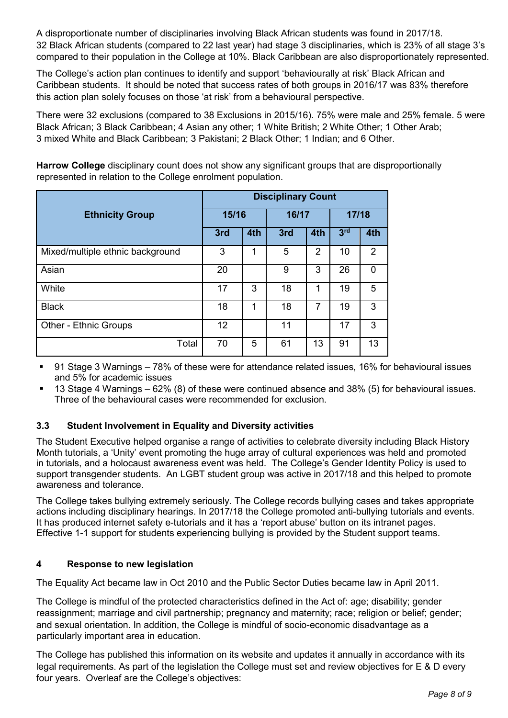A disproportionate number of disciplinaries involving Black African students was found in 2017/18. 32 Black African students (compared to 22 last year) had stage 3 disciplinaries, which is 23% of all stage 3's compared to their population in the College at 10%. Black Caribbean are also disproportionately represented.

The College's action plan continues to identify and support 'behaviourally at risk' Black African and Caribbean students. It should be noted that success rates of both groups in 2016/17 was 83% therefore this action plan solely focuses on those 'at risk' from a behavioural perspective.

There were 32 exclusions (compared to 38 Exclusions in 2015/16). 75% were male and 25% female. 5 were Black African; 3 Black Caribbean; 4 Asian any other; 1 White British; 2 White Other; 1 Other Arab; 3 mixed White and Black Caribbean; 3 Pakistani; 2 Black Other; 1 Indian; and 6 Other.

**Harrow College** disciplinary count does not show any significant groups that are disproportionally represented in relation to the College enrolment population.

|                                  | <b>Disciplinary Count</b> |     |       |               |                 |          |
|----------------------------------|---------------------------|-----|-------|---------------|-----------------|----------|
| <b>Ethnicity Group</b>           | 15/16                     |     | 16/17 |               | 17/18           |          |
|                                  | 3rd                       | 4th | 3rd   | 4th           | 3 <sup>rd</sup> | 4th      |
| Mixed/multiple ethnic background | 3                         | 1   | 5     | $\mathcal{P}$ | 10              | 2        |
| Asian                            | 20                        |     | 9     | 3             | 26              | $\Omega$ |
| White                            | 17                        | 3   | 18    | 1             | 19              | 5        |
| <b>Black</b>                     | 18                        | 1   | 18    | 7             | 19              | 3        |
| <b>Other - Ethnic Groups</b>     | 12                        |     | 11    |               | 17              | 3        |
| Total                            | 70                        | 5   | 61    | 13            | 91              | 13       |

 91 Stage 3 Warnings – 78% of these were for attendance related issues, 16% for behavioural issues and 5% for academic issues

 13 Stage 4 Warnings – 62% (8) of these were continued absence and 38% (5) for behavioural issues. Three of the behavioural cases were recommended for exclusion.

# **3.3 Student Involvement in Equality and Diversity activities**

The Student Executive helped organise a range of activities to celebrate diversity including Black History Month tutorials, a 'Unity' event promoting the huge array of cultural experiences was held and promoted in tutorials, and a holocaust awareness event was held. The College's Gender Identity Policy is used to support transgender students. An LGBT student group was active in 2017/18 and this helped to promote awareness and tolerance.

The College takes bullying extremely seriously. The College records bullying cases and takes appropriate actions including disciplinary hearings. In 2017/18 the College promoted anti-bullying tutorials and events. It has produced internet safety e-tutorials and it has a 'report abuse' button on its intranet pages. Effective 1-1 support for students experiencing bullying is provided by the Student support teams.

# **4 Response to new legislation**

The Equality Act became law in Oct 2010 and the Public Sector Duties became law in April 2011.

The College is mindful of the protected characteristics defined in the Act of: age; disability; gender reassignment; marriage and civil partnership; pregnancy and maternity; race; religion or belief; gender; and sexual orientation. In addition, the College is mindful of socio-economic disadvantage as a particularly important area in education.

The College has published this information on its website and updates it annually in accordance with its legal requirements. As part of the legislation the College must set and review objectives for E & D every four years. Overleaf are the College's objectives: